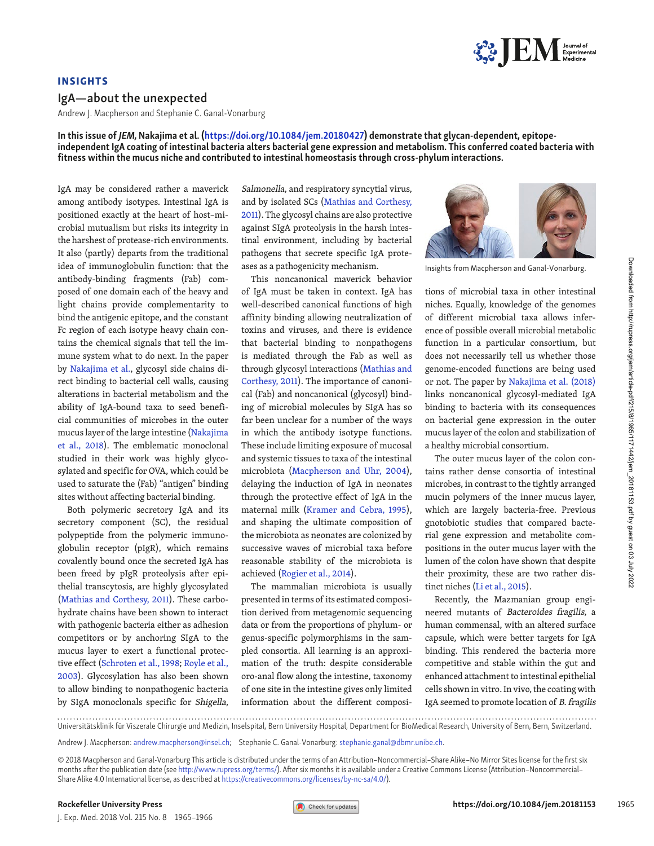

## INSIGHTS

## IgA—about the unexpected

Andrew J. Macpherson and Stephanie C. Ganal‑Vonarburg

In this issue of JEM, Nakajima et al. ([https://doi.org/10.1084/jem.20180427\)](https://doi.org/10.1084/jem.20180427) demonstrate that glycan-dependent, epitopeindependent IgA coating of intestinal bacteria alters bacterial gene expression and metabolism. This conferred coated bacteria with fitness within the mucus niche and contributed to intestinal homeostasis through cross-phylum interactions.

IgA may be considered rather a maverick among antibody isotypes. Intestinal IgA is positioned exactly at the heart of host–microbial mutualism but risks its integrity in the harshest of protease-rich environments. It also (partly) departs from the traditional idea of immunoglobulin function: that the antibody-binding fragments (Fab) composed of one domain each of the heavy and light chains provide complementarity to bind the antigenic epitope, and the constant Fc region of each isotype heavy chain contains the chemical signals that tell the immune system what to do next. In the paper by [Nakajima et al.](https://doi.org/10.1084/jem.20180427), glycosyl side chains direct binding to bacterial cell walls, causing alterations in bacterial metabolism and the ability of IgA-bound taxa to seed beneficial communities of microbes in the outer mucus layer of the large intestine ([Nakajima](#page-1-0)  [et al., 2018](#page-1-0)). The emblematic monoclonal studied in their work was highly glycosylated and specific for OVA, which could be used to saturate the (Fab) "antigen" binding sites without affecting bacterial binding.

Both polymeric secretory IgA and its secretory component (SC), the residual polypeptide from the polymeric immunoglobulin receptor (pIgR), which remains covalently bound once the secreted IgA has been freed by pIgR proteolysis after epithelial transcytosis, are highly glycosylated [\(Mathias and Corthesy, 2011](#page-1-1)). These carbohydrate chains have been shown to interact with pathogenic bacteria either as adhesion competitors or by anchoring SIgA to the mucus layer to exert a functional protective effect [\(Schroten et al., 1998](#page-1-2); [Royle et al.,](#page-1-3)  [2003\)](#page-1-3). Glycosylation has also been shown to allow binding to nonpathogenic bacteria by SIgA monoclonals specific for Shigella,

Salmonella, and respiratory syncytial virus, and by isolated SCs [\(Mathias and Corthesy,](#page-1-1) [2011\)](#page-1-1). The glycosyl chains are also protective against SIgA proteolysis in the harsh intestinal environment, including by bacterial pathogens that secrete specific IgA proteases as a pathogenicity mechanism.

This noncanonical maverick behavior of IgA must be taken in context. IgA has well-described canonical functions of high affinity binding allowing neutralization of toxins and viruses, and there is evidence that bacterial binding to nonpathogens is mediated through the Fab as well as through glycosyl interactions ([Mathias and](#page-1-1)  [Corthesy, 2011\)](#page-1-1). The importance of canonical (Fab) and noncanonical (glycosyl) binding of microbial molecules by SIgA has so far been unclear for a number of the ways in which the antibody isotype functions. These include limiting exposure of mucosal and systemic tissues to taxa of the intestinal microbiota [\(Macpherson and Uhr, 2004\)](#page-1-4), delaying the induction of IgA in neonates through the protective effect of IgA in the maternal milk [\(Kramer and Cebra, 1995\)](#page-1-5), and shaping the ultimate composition of the microbiota as neonates are colonized by successive waves of microbial taxa before reasonable stability of the microbiota is achieved [\(Rogier et al., 2014](#page-1-6)).

The mammalian microbiota is usually presented in terms of its estimated composition derived from metagenomic sequencing data or from the proportions of phylum- or genus-specific polymorphisms in the sampled consortia. All learning is an approximation of the truth: despite considerable oro-anal flow along the intestine, taxonomy of one site in the intestine gives only limited information about the different composi-



Insights from Macpherson and Ganal-Vonarburg.

tions of microbial taxa in other intestinal niches. Equally, knowledge of the genomes of different microbial taxa allows inference of possible overall microbial metabolic function in a particular consortium, but does not necessarily tell us whether those genome-encoded functions are being used or not. The paper by [Nakajima et al. \(2018\)](#page-1-0) links noncanonical glycosyl-mediated IgA binding to bacteria with its consequences on bacterial gene expression in the outer mucus layer of the colon and stabilization of a healthy microbial consortium.

The outer mucus layer of the colon contains rather dense consortia of intestinal microbes, in contrast to the tightly arranged mucin polymers of the inner mucus layer, which are largely bacteria-free. Previous gnotobiotic studies that compared bacterial gene expression and metabolite compositions in the outer mucus layer with the lumen of the colon have shown that despite their proximity, these are two rather distinct niches [\(Li et al., 2015\)](#page-1-7).

Recently, the Mazmanian group engineered mutants of Bacteroides fragilis, a human commensal, with an altered surface capsule, which were better targets for IgA binding. This rendered the bacteria more competitive and stable within the gut and enhanced attachment to intestinal epithelial cells shown in vitro. In vivo, the coating with IgA seemed to promote location of B. fragilis

Universitätsklinik für Viszerale Chirurgie und Medizin, Inselspital, Bern University Hospital, Department for BioMedical Research, University of Bern, Bern, Switzerland.

Andrew J. Macpherson: [andrew.macpherson@insel.ch](mailto:andrew.macpherson@insel.ch); Stephanie C. Ganal-Vonarburg: [stephanie.ganal@dbmr.unibe.ch](mailto:stephanie.ganal@dbmr.unibe.ch).

© 2018 Macpherson and Ganal-Vonarburg This article is distributed under the terms of an Attribution–Noncommercial–Share Alike–No Mirror Sites license for the first six months after the publication date (see<http://www.rupress.org/terms/>). After six months it is available under a Creative Commons License (Attribution–Noncommercial– Share Alike 4.0 International license, as described at [https://creativecommons.org/licenses/by-nc-sa/4.0/\)](https://creativecommons.org/licenses/by-nc-sa/4.0/).